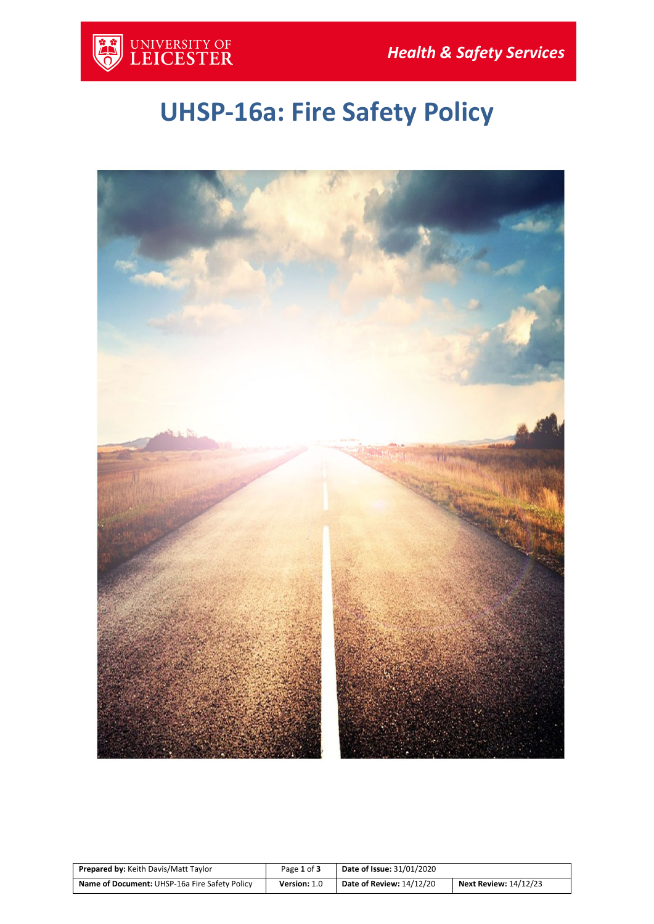

# **UHSP-16a: Fire Safety Policy**



| <b>Prepared by: Keith Davis/Matt Taylor</b>   | Page 1 of 3  | <b>Date of Issue: 31/01/2020</b> |                              |
|-----------------------------------------------|--------------|----------------------------------|------------------------------|
| Name of Document: UHSP-16a Fire Safety Policy | Version: 1.0 | <b>Date of Review: 14/12/20</b>  | <b>Next Review: 14/12/23</b> |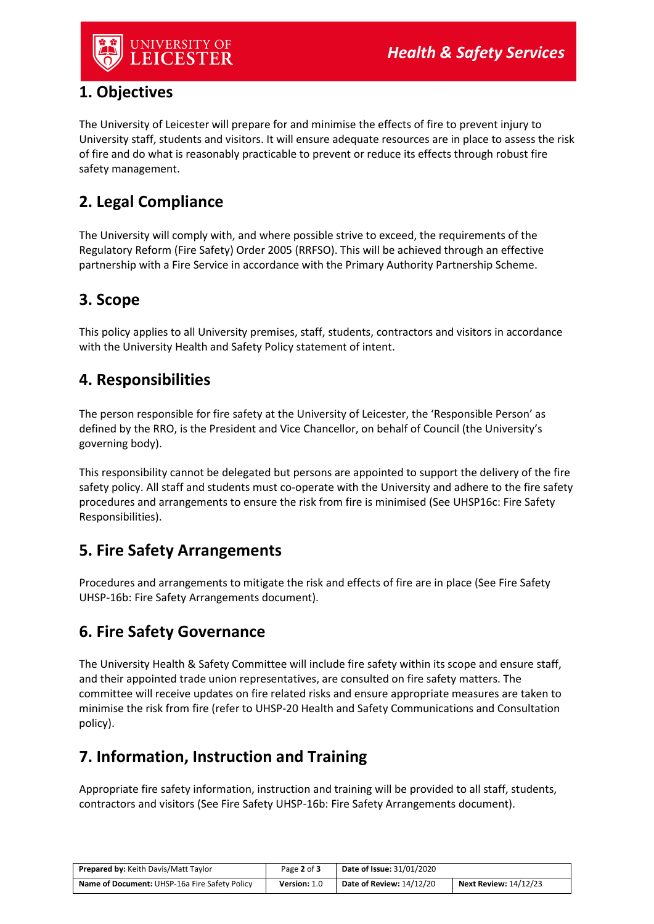

## **1. Objectives**

The University of Leicester will prepare for and minimise the effects of fire to prevent injury to University staff, students and visitors. It will ensure adequate resources are in place to assess the risk of fire and do what is reasonably practicable to prevent or reduce its effects through robust fire safety management.

## **2. Legal Compliance**

The University will comply with, and where possible strive to exceed, the requirements of the Regulatory Reform (Fire Safety) Order 2005 (RRFSO). This will be achieved through an effective partnership with a Fire Service in accordance with the Primary Authority Partnership Scheme.

## **3. Scope**

This policy applies to all University premises, staff, students, contractors and visitors in accordance with the University Health and Safety Policy statement of intent.

## **4. Responsibilities**

The person responsible for fire safety at the University of Leicester, the 'Responsible Person' as defined by the RRO, is the President and Vice Chancellor, on behalf of Council (the University's governing body).

This responsibility cannot be delegated but persons are appointed to support the delivery of the fire safety policy. All staff and students must co-operate with the University and adhere to the fire safety procedures and arrangements to ensure the risk from fire is minimised (See UHSP16c: Fire Safety Responsibilities).

## **5. Fire Safety Arrangements**

Procedures and arrangements to mitigate the risk and effects of fire are in place (See Fire Safety UHSP-16b: Fire Safety Arrangements document).

## **6. Fire Safety Governance**

The University Health & Safety Committee will include fire safety within its scope and ensure staff, and their appointed trade union representatives, are consulted on fire safety matters. The committee will receive updates on fire related risks and ensure appropriate measures are taken to minimise the risk from fire (refer to UHSP-20 Health and Safety Communications and Consultation policy).

## **7. Information, Instruction and Training**

Appropriate fire safety information, instruction and training will be provided to all staff, students, contractors and visitors (See Fire Safety UHSP-16b: Fire Safety Arrangements document).

| <b>Prepared by: Keith Davis/Matt Taylor</b>   | Page 2 of 3  | <b>Date of Issue: 31/01/2020</b> |                              |
|-----------------------------------------------|--------------|----------------------------------|------------------------------|
| Name of Document: UHSP-16a Fire Safety Policy | Version: 1.0 | <b>Date of Review: 14/12/20</b>  | <b>Next Review: 14/12/23</b> |